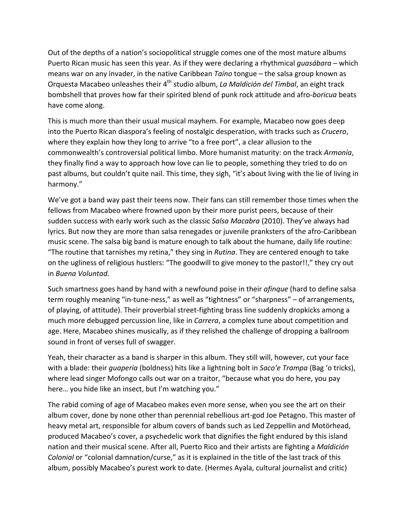Out of the depths of a nation's sociopolitical struggle comes one of the most mature albums Puerto Rican music has seen this year. As if they were declaring a rhythmical *guasábara* – which means war on any invader, in the native Caribbean *Taíno* tongue – the salsa group known as Orquesta Macabeo unleashes their 4<sup>th</sup> studio album, *La Maldición del Timbal*, an eight track bombshell that proves how far their spirited blend of punk rock attitude and afro-boricua beats have come along.

This is much more than their usual musical mayhem. For example, Macabeo now goes deep into the Puerto Rican diaspora's feeling of nostalgic desperation, with tracks such as *Crucero*, where they explain how they long to arrive "to a free port", a clear allusion to the commonwealth's controversial political limbo. More humanist maturity: on the track Armonía, they finally find a way to approach how love can lie to people, something they tried to do on past albums, but couldn't quite nail. This time, they sigh, "it's about living with the lie of living in harmony."

We've got a band way past their teens now. Their fans can still remember those times when the fellows from Macabeo where frowned upon by their more purist peers, because of their sudden success with early work such as the classic *Salsa Macabra* (2010). They've always had lyrics. But now they are more than salsa renegades or juvenile pranksters of the afro-Caribbean music scene. The salsa big band is mature enough to talk about the humane, daily life routine: "The routine that tarnishes my retina," they sing in *Rutina*. They are centered enough to take on the ugliness of religious hustlers: "The goodwill to give money to the pastor!!," they cry out in *Buena Voluntad.*

Such smartness goes hand by hand with a newfound poise in their *afinque* (hard to define salsa term roughly meaning "in-tune-ness," as well as "tightness" or "sharpness" – of arrangements, of playing, of attitude). Their proverbial street-fighting brass line suddenly dropkicks among a much more debugged percussion line, like in *Carrera*, a complex tune about competition and age. Here, Macabeo shines musically, as if they relished the challenge of dropping a ballroom sound in front of verses full of swagger.

Yeah, their character as a band is sharper in this album. They still will, however, cut your face with a blade: their *guapería* (boldness) hits like a lightning bolt in *Saco'e Trampa* (Bag 'o tricks), where lead singer Mofongo calls out war on a traitor, "because what you do here, you pay here... you hide like an insect, but I'm watching you."

The rabid coming of age of Macabeo makes even more sense, when you see the art on their album cover, done by none other than perennial rebellious art-god Joe Petagno. This master of heavy metal art, responsible for album covers of bands such as Led Zeppellin and Motörhead, produced Macabeo's cover, a psychedelic work that dignifies the fight endured by this island nation and their musical scene. After all, Puerto Rico and their artists are fighting a *Maldición Colonial* or "colonial damnation/curse," as it is explained in the title of the last track of this album, possibly Macabeo's purest work to date. (Hermes Ayala, cultural journalist and critic)